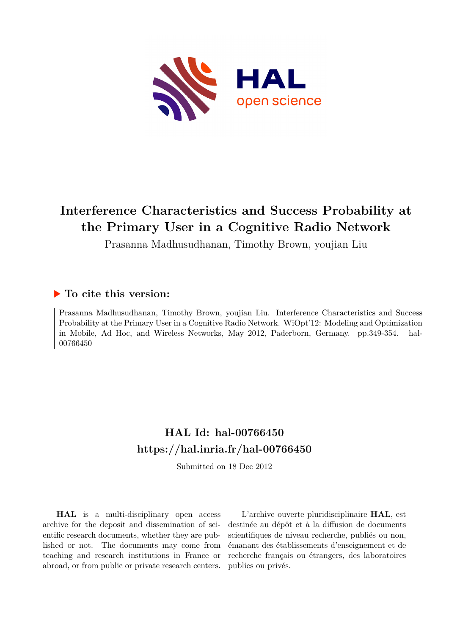

## **Interference Characteristics and Success Probability at the Primary User in a Cognitive Radio Network**

Prasanna Madhusudhanan, Timothy Brown, youjian Liu

### **To cite this version:**

Prasanna Madhusudhanan, Timothy Brown, youjian Liu. Interference Characteristics and Success Probability at the Primary User in a Cognitive Radio Network. WiOpt'12: Modeling and Optimization in Mobile, Ad Hoc, and Wireless Networks, May 2012, Paderborn, Germany. pp.349-354. hal-00766450

## **HAL Id: hal-00766450 <https://hal.inria.fr/hal-00766450>**

Submitted on 18 Dec 2012

**HAL** is a multi-disciplinary open access archive for the deposit and dissemination of scientific research documents, whether they are published or not. The documents may come from teaching and research institutions in France or abroad, or from public or private research centers.

L'archive ouverte pluridisciplinaire **HAL**, est destinée au dépôt et à la diffusion de documents scientifiques de niveau recherche, publiés ou non, émanant des établissements d'enseignement et de recherche français ou étrangers, des laboratoires publics ou privés.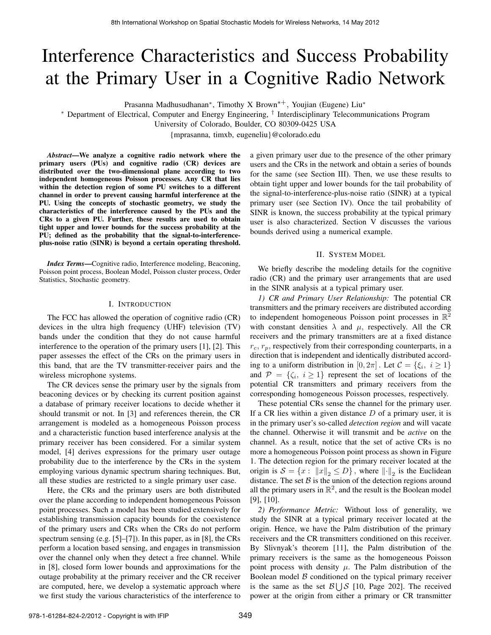# Interference Characteristics and Success Probability at the Primary User in a Cognitive Radio Network

Prasanna Madhusudhanan<sup>∗</sup>, Timothy X Brown<sup>∗+</sup>, Youjian (Eugene) Liu<sup>\*</sup>

<sup>∗</sup> Department of Electrical, Computer and Energy Engineering, † Interdisciplinary Telecommunications Program

University of Colorado, Boulder, CO 80309-0425 USA

{mprasanna, timxb, eugeneliu}@colorado.edu

*Abstract*—We analyze a cognitive radio network where the primary users (PUs) and cognitive radio (CR) devices are distributed over the two-dimensional plane according to two independent homogeneous Poisson processes. Any CR that lies within the detection region of some PU switches to a different channel in order to prevent causing harmful interference at the PU. Using the concepts of stochastic geometry, we study the characteristics of the interference caused by the PUs and the CRs to a given PU. Further, these results are used to obtain tight upper and lower bounds for the success probability at the PU; defined as the probability that the signal-to-interferenceplus-noise ratio (SINR) is beyond a certain operating threshold.

*Index Terms*—Cognitive radio, Interference modeling, Beaconing, Poisson point process, Boolean Model, Poisson cluster process, Order Statistics, Stochastic geometry.

#### I. INTRODUCTION

The FCC has allowed the operation of cognitive radio (CR) devices in the ultra high frequency (UHF) television (TV) bands under the condition that they do not cause harmful interference to the operation of the primary users [1], [2]. This paper assesses the effect of the CRs on the primary users in this band, that are the TV transmitter-receiver pairs and the wireless microphone systems.

The CR devices sense the primary user by the signals from beaconing devices or by checking its current position against a database of primary receiver locations to decide whether it should transmit or not. In [3] and references therein, the CR arrangement is modeled as a homogeneous Poisson process and a characteristic function based interference analysis at the primary receiver has been considered. For a similar system model, [4] derives expressions for the primary user outage probability due to the interference by the CRs in the system employing various dynamic spectrum sharing techniques. But, all these studies are restricted to a single primary user case.

Here, the CRs and the primary users are both distributed over the plane according to independent homogeneous Poisson point processes. Such a model has been studied extensively for establishing transmission capacity bounds for the coexistence of the primary users and CRs when the CRs do not perform spectrum sensing (e.g. [5]–[7]). In this paper, as in [8], the CRs perform a location based sensing, and engages in transmission over the channel only when they detect a free channel. While in [8], closed form lower bounds and approximations for the outage probability at the primary receiver and the CR receiver are computed, here, we develop a systematic approach where we first study the various characteristics of the interference to

a given primary user due to the presence of the other primary users and the CRs in the network and obtain a series of bounds for the same (see Section III). Then, we use these results to obtain tight upper and lower bounds for the tail probability of the signal-to-interference-plus-noise ratio (SINR) at a typical primary user (see Section IV). Once the tail probability of SINR is known, the success probability at the typical primary user is also characterized. Section V discusses the various bounds derived using a numerical example.

#### II. SYSTEM MODEL

We briefly describe the modeling details for the cognitive radio (CR) and the primary user arrangements that are used in the SINR analysis at a typical primary user.

*1) CR and Primary User Relationship:* The potential CR transmitters and the primary receivers are distributed according to independent homogeneous Poisson point processes in  $\mathbb{R}^2$ with constant densities  $\lambda$  and  $\mu$ , respectively. All the CR receivers and the primary transmitters are at a fixed distance  $r_c, r_p$ , respectively from their corresponding counterparts, in a direction that is independent and identically distributed according to a uniform distribution in  $[0, 2\pi]$ . Let  $C = \{\xi_i, i \geq 1\}$ and  $\mathcal{P} = \{\zeta_i, i \geq 1\}$  represent the set of locations of the potential CR transmitters and primary receivers from the corresponding homogeneous Poisson processes, respectively.

These potential CRs sense the channel for the primary user. If a CR lies within a given distance  $D$  of a primary user, it is in the primary user's so-called *detection region* and will vacate the channel. Otherwise it will transmit and be *active* on the channel. As a result, notice that the set of active CRs is no more a homogeneous Poisson point process as shown in Figure 1. The detection region for the primary receiver located at the origin is  $S = \{x : ||x||_2 \le D\}$ , where  $||\cdot||_2$  is the Euclidean distance. The set  $\beta$  is the union of the detection regions around all the primary users in  $\mathbb{R}^2$ , and the result is the Boolean model [9], [10].

*2) Performance Metric:* Without loss of generality, we study the SINR at a typical primary receiver located at the origin. Hence, we have the Palm distribution of the primary receivers and the CR transmitters conditioned on this receiver. By Slivnyak's theorem [11], the Palm distribution of the primary receivers is the same as the homogeneous Poisson point process with density  $\mu$ . The Palm distribution of the Boolean model  $\beta$  conditioned on the typical primary receiver is the same as the set  $\mathcal{B}\bigcup \mathcal{S}$  [10, Page 202]. The received power at the origin from either a primary or CR transmitter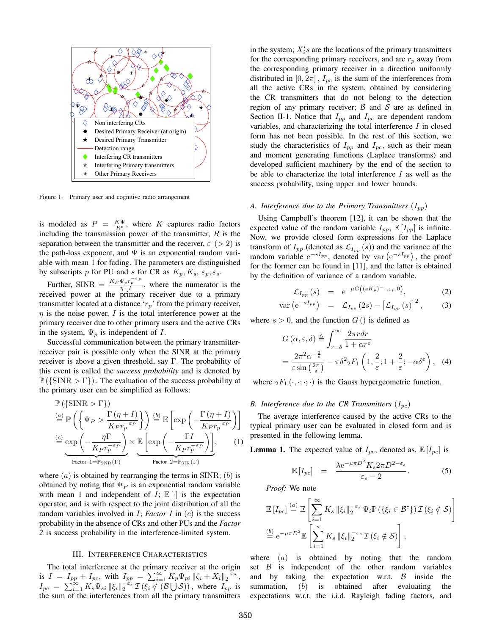

Figure 1. Primary user and cognitive radio arrangement

is modeled as  $P = \frac{K \Psi}{R^{\epsilon}}$ , where K captures radio factors including the transmission power of the transmitter,  $R$  is the separation between the transmitter and the receiver,  $\varepsilon$  (> 2) is the path-loss exponent, and  $\Psi$  is an exponential random variable with mean 1 for fading. The parameters are distinguished by subscripts p for PU and s for CR as  $K_p, K_s, \varepsilon_p, \varepsilon_s$ .

Further, SINR =  $\frac{K_P \Psi_p r_p^{-\epsilon_P}}{\eta+I}$ , where the numerator is the received power at the primary receiver due to a primary transmitter located at a distance ' $r_p$ ' from the primary receiver,  $\eta$  is the noise power, I is the total interference power at the primary receiver due to other primary users and the active CRs in the system,  $\Psi_n$  is independent of I.

Successful communication between the primary transmitterreceiver pair is possible only when the SINR at the primary receiver is above a given threshold, say Γ. The probability of this event is called the *success probability* and is denoted by  $\mathbb{P}(\{\text{SINR} > \Gamma\})$ . The evaluation of the success probability at the primary user can be simplified as follows:

$$
\mathbb{P}\left(\left\{\text{SINR} > \Gamma\right\}\right)
$$
\n
$$
\stackrel{(a)}{=} \mathbb{P}\left(\left\{\Psi_P > \frac{\Gamma\left(\eta + I\right)}{K_P r_p^{-\epsilon_P}}\right\}\right) \stackrel{(b)}{=} \mathbb{E}\left[\exp\left(-\frac{\Gamma\left(\eta + I\right)}{K_P r_p^{-\epsilon_P}}\right)\right]
$$
\n
$$
\stackrel{(c)}{=} \exp\left(-\frac{\eta \Gamma}{K_P r_p^{-\epsilon_P}}\right) \times \underbrace{\mathbb{E}\left[\exp\left(-\frac{\Gamma I}{K_P r_p^{-\epsilon_P}}\right)\right]}_{\text{Factor 1} = \mathbb{P}_{\text{SNR}}(\Gamma)},\qquad(1)
$$

where  $(a)$  is obtained by rearranging the terms in SINR;  $(b)$  is obtained by noting that  $\Psi_P$  is an exponential random variable with mean 1 and independent of  $I$ ;  $\mathbb{E}[\cdot]$  is the expectation operator, and is with respect to the joint distribution of all the random variables involved in I; *Factor 1* in (c) is the success probability in the absence of CRs and other PUs and the *Factor 2* is success probability in the interference-limited system.

#### III. INTERFERENCE CHARACTERISTICS

The total interference at the primary receiver at the origin is  $I = I_{pp} + I_{pc}$ , with  $I_{pp} = \sum_{i=1}^{\infty} K_p \Psi_{pi} ||\zeta_i + X_i||_2^{-\epsilon_p}$ ,  $I_{pc} = \sum_{i=1}^{+\infty} K_s \Psi_{si} ||\xi_i||_2^{-\varepsilon_s} \mathcal{I}(\xi_i \notin (\mathcal{B} \cup \mathcal{S}))$ , where  $I_{pp}$  is the sum of the interferences from all the primary transmitters

in the system;  $X_i$ 's are the locations of the primary transmitters for the corresponding primary receivers, and are  $r_p$  away from the corresponding primary receiver in a direction uniformly distributed in  $[0, 2\pi]$ ,  $I_{pc}$  is the sum of the interferences from all the active CRs in the system, obtained by considering the CR transmitters that do not belong to the detection region of any primary receiver;  $\beta$  and  $\beta$  are as defined in Section II-1. Notice that  $I_{pp}$  and  $I_{pc}$  are dependent random variables, and characterizing the total interference  $I$  in closed form has not been possible. In the rest of this section, we study the characteristics of  $I_{pp}$  and  $I_{pc}$ , such as their mean and moment generating functions (Laplace transforms) and developed sufficient machinery by the end of the section to be able to characterize the total interference  $I$  as well as the success probability, using upper and lower bounds.

#### A. Interference due to the Primary Transmitters  $(I_{pp})$

Using Campbell's theorem [12], it can be shown that the expected value of the random variable  $I_{pp}$ ,  $\mathbb{E}[I_{pp}]$  is infinite. Now, we provide closed form expressions for the Laplace transform of  $I_{pp}$  (denoted as  $\mathcal{L}_{I_{pp}}(s)$ ) and the variance of the random variable  $e^{-sI_{pp}}$ , denoted by var  $(e^{-sI_{pp}})$ , the proof for the former can be found in [11], and the latter is obtained by the definition of variance of a random variable.

$$
\mathcal{L}_{I_{pp}}(s) = e^{-\mu G\left((sK_p)^{-1}, \varepsilon_p, 0\right)}, \tag{2}
$$

$$
\text{var}\left(e^{-sI_{pp}}\right) = \mathcal{L}_{I_{pp}}(2s) - \left[\mathcal{L}_{I_{pp}}(s)\right]^2, \quad (3)
$$

where  $s > 0$ , and the function  $G()$  is defined as

$$
G(\alpha, \varepsilon, \delta) \triangleq \int_{r=\delta}^{\infty} \frac{2\pi r dr}{1 + \alpha r^{\varepsilon}}
$$
  
= 
$$
\frac{2\pi^2 \alpha^{-\frac{2}{\varepsilon}}}{\varepsilon \sin\left(\frac{2\pi}{\varepsilon}\right)} - \pi \delta^2 {}_2F_1\left(1, \frac{2}{\varepsilon}; 1 + \frac{2}{\varepsilon}; -\alpha \delta^{\varepsilon}\right), \quad (4)
$$

where  ${}_2F_1(\cdot, \cdot; \cdot; \cdot)$  is the Gauss hypergeometric function.

#### *B. Interference due to the CR Transmitters*  $(I_{pc})$

The average interference caused by the active CRs to the typical primary user can be evaluated in closed form and is presented in the following lemma.

**Lemma 1.** The expected value of  $I_{pc}$ , denoted as,  $\mathbb{E}[I_{pc}]$  is

$$
\mathbb{E}\left[I_{pc}\right] = \frac{\lambda e^{-\mu\pi D^2} K_s 2\pi D^{2-\varepsilon_s}}{\varepsilon_s - 2}.
$$
 (5)

*Proof:* We note

$$
\mathbb{E}\left[I_{pc}\right] \stackrel{(a)}{=} \mathbb{E}\left[\sum_{i=1}^{\infty} K_s \left\|\xi_i\right\|_2^{-\varepsilon_s} \Psi_i \mathbb{P}\left(\{\xi_i \in \mathcal{B}^c\}\right) \mathcal{I}\left(\xi_i \notin \mathcal{S}\right)\right]
$$
\n
$$
\stackrel{(b)}{=} e^{-\mu \pi D^2} \mathbb{E}\left[\sum_{i=1}^{\infty} K_s \left\|\xi_i\right\|_2^{-\varepsilon_s} \mathcal{I}\left(\xi_i \notin \mathcal{S}\right)\right],
$$

where  $(a)$  is obtained by noting that the random set  $\beta$  is independent of the other random variables and by taking the expectation w.r.t.  $\beta$  inside the summation, (b) is obtained after evaluating the expectations w.r.t. the i.i.d. Rayleigh fading factors, and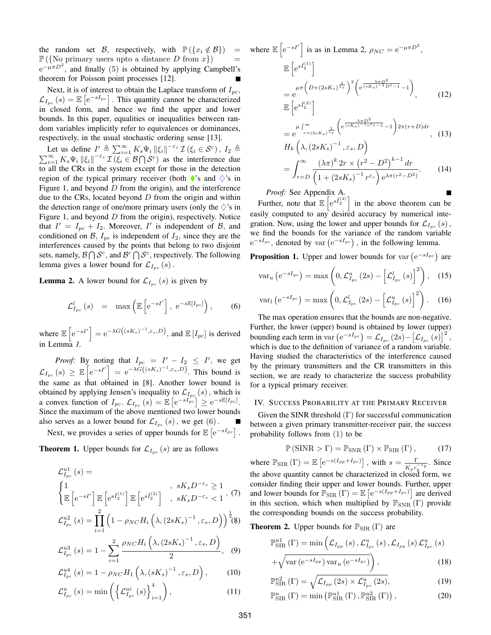the random set B, respectively, with  $\mathbb{P}(\lbrace x_i \notin \mathcal{B} \rbrace)$  $\mathbb{P}(\{\text{No primary users up to a distance } D \text{ from } x\})$  $e^{-\mu\pi D^2}$ , and finally (5) is obtained by applying Campbell's theorem for Poisson point processes [12].

Next, it is of interest to obtain the Laplace transform of  $I_{pc}$ ,  $\mathcal{L}_{I_{pc}}(s) = \mathbb{E}\left[e^{-sI_{pc}}\right]$ . This quantity cannot be characterized in closed form, and hence we find the upper and lower bounds. In this paper, equalities or inequalities between random variables implicitly refer to equivalences or dominances, respectively, in the usual stochastic ordering sense [13].

Let us define  $I' \triangleq \sum_{i=1}^{\infty} K_s \Psi_i ||\xi_i||^{-\varepsilon_s} \mathcal{I}(\xi_i \in \mathcal{S}^c)$ P Let us define  $I' \triangleq \sum_{i=1}^{\infty} K_s \Psi_i ||\xi_i||^{-\varepsilon_s} \mathcal{I}(\xi_i \in \mathcal{S}^c), I_2 \triangleq \sum_{i=1}^{\infty} K_s \Psi_i ||\xi_i||^{-\varepsilon_s} \mathcal{I}(\xi_i \in \mathcal{B} \bigcap \mathcal{S}^c)$  as the interference due to all the CRs in the system except for those in the detection region of the typical primary receiver (both  $\blacklozenge$ 's and  $\lozenge$ 's in Figure 1, and beyond  $D$  from the origin), and the interference due to the CRs, located beyond  $D$  from the origin and within the detection range of one/more primary users (only the  $\Diamond$ 's in Figure 1, and beyond  $D$  from the origin), respectively. Notice that  $I' = I_{pc} + I_2$ . Moreover, I' is independent of B, and conditioned on  $\mathcal{B}$ ,  $I_{pc}$  is independent of  $I_2$ , since they are the interferences caused by the points that belong to two disjoint sets, namely,  $\mathcal{B} \bigcap \mathcal{S}^c$ , and  $\mathcal{B}^c \bigcap \mathcal{S}^c$ , respectively. The following lemma gives a lower bound for  $\mathcal{L}_{I_{pc}}(s)$ .

**Lemma 2.** A lower bound for  $\mathcal{L}_{I_{pc}}(s)$  is given by

$$
\mathcal{L}_{I_{pc}}^{l}(s) = \max \left( \mathbb{E}\left[e^{-sI'}\right], e^{-s\mathbb{E}\left[I_{pc}\right]}\right), \quad (6)
$$

where  $\mathbb{E}\left[e^{-sI'}\right] = e^{-\lambda G\left((sK_s)^{-1}, \varepsilon_s, D\right)},$  and  $\mathbb{E}\left[I_{pc}\right]$  is derived in Lemma *1.*

*Proof:* By noting that  $I_{pc} = I' - I_2 \leq I'$ , we get  $\mathcal{L}_{I_{pc}}(s) \geq \mathbb{E}\left[e^{-sI'}\right] = e^{-\lambda G\left((sK_s)^{-1}, \varepsilon_s, D\right)}$ . This bound is the same as that obtained in [8]. Another lower bound is obtained by applying Jensen's inequality to  $\mathcal{L}_{I_{pc}}(s)$ , which is a convex function of  $I_{pc}$ .  $\mathcal{L}_{I_{pc}}(s) = \mathbb{E}\left[e^{-sI_{pc}^{(s)}}\right] \geq e^{-s\mathbb{E}[I_{pc}]}$ . Since the maximum of the above mentioned two lower bounds also serves as a lower bound for  $\mathcal{L}_{I_{pc}}(s)$  , we get  $(6)$ .

Next, we provides a series of upper bounds for  $\mathbb{E}\left[e^{-sI_{pc}}\right]$ .

**Theorem 1.** Upper bounds for  $\mathcal{L}_{I_{pc}}(s)$  are as follows

$$
\mathcal{L}_{I_{pc}}^{u1}(s) = \begin{cases}\n1 & , sK_s D^{-\varepsilon_s} \ge 1 \\
\mathbb{E}\left[e^{-sI'}\right] \mathbb{E}\left[e^{s\hat{I}_2^{(1)}}\right] \mathbb{E}\left[e^{s\hat{I}_2^{(2)}}\right] & , sK_s D^{-\varepsilon_s} < 1\n\end{cases}, (7)
$$
\n
$$
\mathcal{L}_{I_{nc}}^{u2}(s) = \prod_{r=1}^{2} \left(1 - \rho_{NC} H_i\left(\lambda, \left(2sK_s\right)^{-1}, \varepsilon_s, D\right)\right)^{\frac{1}{2}}\n\tag{8}
$$

$$
\mathcal{L}_{I_{pc}}^{u2}(s) = \prod_{i=1} \left(1 - \rho_{NC} H_i\left(\lambda, (2sK_s)^{-1}, \varepsilon_s, D\right)\right)^2(s)
$$

$$
\mathcal{L}_{I_{pc}}^{u3}(s) = 1 - \sum_{i=1}^{P_{NC}} \frac{P_{NC}^{u1}(A, (201s)^{-1}, 8, 2)}{2}, \quad (9)
$$

$$
\mathcal{L}_{I_{pc}}^{u4}(s) = 1 - \rho_{NC} H_1\left(\lambda, (sK_s)^{-1}, \varepsilon_s, D\right),\tag{10}
$$

$$
\mathcal{L}_{I_{pc}}^{u}(s) = \min\left(\left\{\mathcal{L}_{I_{pc}}^{ui}(s)\right\}_{i=1}^{4}\right),\tag{11}
$$

here 
$$
\mathbb{E}\left[e^{-sI'}\right] \text{ is as in Lemma 2, } \rho_{NC} = e^{-\mu\pi D^2},
$$

$$
\mathbb{E}\left[e^{sI_2^{(1)}}\right]
$$

$$
= e^{\mu\pi \left(D + (2sK_s)^{\frac{1}{\varepsilon_s}}\right)^2 \left(e^{\frac{\lambda\pi D^2}{(sK_s)^{-1}D^{\varepsilon}-1}}-1\right)}, \qquad (12)
$$

$$
\mathbb{E}\left[e^{sI_2^{(2)}}\right]
$$

$$
= e^{\mu \int_{r=(2sK_s)^{\frac{1}{\varepsilon_s}}} \left(e^{\frac{\lambda\pi D^2}{(sK_s)^{-1}r^{\varepsilon_{s}}-1}}-1\right) 2\pi (r+D) dr}, \qquad (13)
$$

$$
H_k\left(\lambda, (2sK_s)^{-1}, \varepsilon_s, D\right)
$$

 $w$ 

$$
= \int_{r=D}^{\infty} \frac{(\lambda \pi)^k 2r \times (r^2 - D^2)^{k-1} dr}{\left(1 + (2sK_s)^{-1} r^{\varepsilon_s}\right) e^{\lambda \pi (r^2 - D^2)}}.
$$
 (14)

 $\blacksquare$ 

*Proof:* See Appendix A. Further, note that  $\mathbb{E}\left[e^{s\hat{I}_2^{(2)}}\right]$  in the above theorem can be easily computed to any desired accuracy by numerical inte-

gration. Now, using the lower and upper bounds for  $\mathcal{L}_{I_{pc}}(s)$ , we find the bounds for the variance of the random variable  $e^{-sI_{pc}}$ , denoted by var  $(e^{-sI_{pc}})$ , in the following lemma.

**Proposition 1.** Upper and lower bounds for var  $(e^{-sI_{pc}})$  are

$$
\operatorname{var}_{u}\left(\mathrm{e}^{-sI_{pc}}\right) = \max\left(0, \mathcal{L}_{I_{pc}}^{u}\left(2s\right) - \left[\mathcal{L}_{I_{pc}}^{l}\left(s\right)\right]^{2}\right), \quad (15)
$$

$$
\text{var}_{l}\left(e^{-sI_{pc}}\right) = \max\left(0, \mathcal{L}_{I_{pc}}^{l}\left(2s\right) - \left[\mathcal{L}_{I_{pc}}^{u}\left(s\right)\right]^{2}\right). \quad (16)
$$

The max operation ensures that the bounds are non-negative. Further, the lower (upper) bound is obtained by lower (upper) bounding each term in var  $(e^{-sI_{pc}}) = \mathcal{L}_{I_{pc}}(2s) - [\mathcal{L}_{I_{pc}}(s)]^2$ , which is due to the definition of variance of a random variable. Having studied the characteristics of the interference caused by the primary transmitters and the CR transmitters in this section, we are ready to characterize the success probability for a typical primary receiver.

#### IV. SUCCESS PROBABILITY AT THE PRIMARY RECEIVER

Given the SINR threshold  $(Γ)$  for successful communication between a given primary transmitter-receiver pair, the success probability follows from (1) to be

$$
\mathbb{P}\left(\text{SINR} > \Gamma\right) = \mathbb{P}_{\text{SNR}}\left(\Gamma\right) \times \mathbb{P}_{\text{SIR}}\left(\Gamma\right),\tag{17}
$$

where  $\mathbb{P}_{\text{SIR}}(\Gamma) = \mathbb{E}\left[e^{-s(I_{pp}+I_{pc})}\right]$ , with  $s = \frac{\Gamma}{|V_{\text{SIR}}|}$  $\frac{1}{K_p r_p^{-\epsilon_p}}$ . Since the above quantity cannot be characterized in closed form, we consider finding their upper and lower bounds. Further, upper and lower bounds for  $\mathbb{P}_{\text{SIR}}(\Gamma) = \mathbb{E}\left[e^{-s(I_{pp}+I_{pc})}\right]$  are derived in this section, which when multiplied by  $\mathbb{P}_{SNR}(\Gamma)$  provide the corresponding bounds on the success probability.

**Theorem 2.** Upper bounds for  $\mathbb{P}_{\text{SIR}}(\Gamma)$  are

$$
\mathbb{P}_{\text{SIR}}^{u1}(\Gamma) = \min\left(\mathcal{L}_{I_{pp}}(s), \mathcal{L}_{I_{pc}}^{u}(s), \mathcal{L}_{I_{pp}}(s) \mathcal{L}_{I_{pc}}^{u}(s)\right) + \sqrt{\text{var}\left(e^{-sI_{pp}}\right)\text{var}_{u}\left(e^{-sI_{pc}}\right)}\tag{18}
$$

$$
\mathbb{P}_{\text{SIR}}^{u2}\left(\Gamma\right) = \sqrt{\mathcal{L}_{I_{pp}}\left(2s\right) \times \mathcal{L}_{I_{ps}}^{u}\left(2s\right)},\tag{19}
$$

$$
\mathbb{P}_{\rm SIR}^{u}\left(\Gamma\right) = \min\left(\mathbb{P}_{\rm SIR}^{u1}\left(\Gamma\right), \mathbb{P}_{\rm SIR}^{u2}\left(\Gamma\right)\right),\tag{20}
$$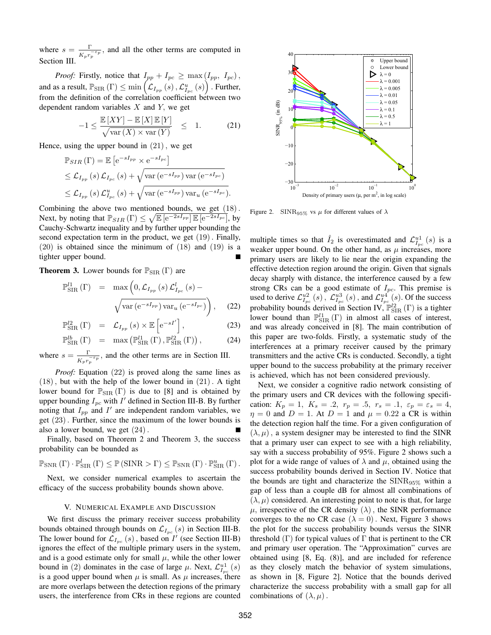where  $s = \frac{\Gamma}{K}$  $\frac{1}{K_p r_p^{-\epsilon_p}}$ , and all the other terms are computed in Section III.

*Proof:* Firstly, notice that  $I_{pp} + I_{pc} \ge \max(I_{pp}, I_{pc})$ , and as a result,  $\mathbb{P}_{\text{SIR}}(\Gamma) \le \min\left(\mathcal{L}_{I_{pp}}(s), \mathcal{L}_{I_{pc}}^u(s)\right)$ . Further, from the definition of the correlation coefficient between two dependent random variables  $X$  and  $Y$ , we get

$$
-1 \le \frac{\mathbb{E}\left[XY\right] - \mathbb{E}\left[X\right]\mathbb{E}\left[Y\right]}{\sqrt{\text{var}\left(X\right) \times \text{var}\left(Y\right)}} \le 1. \tag{21}
$$

Hence, using the upper bound in  $(21)$ , we get

$$
\mathbb{P}_{SIR}(\Gamma) = \mathbb{E}\left[e^{-sI_{pp}} \times e^{-sI_{pc}}\right]
$$
  
\n
$$
\leq \mathcal{L}_{I_{pp}}(s) \mathcal{L}_{I_{pc}}(s) + \sqrt{\text{var}\left(e^{-sI_{pp}}\right) \text{var}\left(e^{-sI_{pc}}\right)}
$$
  
\n
$$
\leq \mathcal{L}_{I_{pp}}(s) \mathcal{L}_{I_{pc}}^{u}(s) + \sqrt{\text{var}\left(e^{-sI_{pp}}\right) \text{var}_{u}\left(e^{-sI_{pc}}\right)}.
$$

Combining the above two mentioned bounds, we get (18). Next, by noting that  $\mathbb{P}_{SIR}(\Gamma) \leq \sqrt{\mathbb{E} [e^{-2sI_{pp}}] \mathbb{E} [e^{-2sI_{pc}}]}$ , by Cauchy-Schwartz inequality and by further upper bounding the second expectation term in the product, we get (19). Finally, (20) is obtained since the minimum of (18) and (19) is a tighter upper bound.

**Theorem 3.** Lower bounds for  $\mathbb{P}_{\text{SIR}}(\Gamma)$  are

$$
\mathbb{P}_{\text{SIR}}^{l1}(\Gamma) = \max\left(0, \mathcal{L}_{I_{pp}}(s) \mathcal{L}_{I_{pc}}^{l}(s) - \sqrt{\text{var}\left(e^{-sI_{pc}}\right) \text{var}_{u}\left(e^{-sI_{pc}}\right)}\right), \quad (22)
$$

$$
\mathbb{P}_{\text{SIR}}^{l2}(\Gamma) = \mathcal{L}_{I_{pp}}(s) \times \mathbb{E}\left[e^{-sI'}\right],\tag{23}
$$

$$
\mathbb{P}^{lb}_{\text{SIR}}\left(\Gamma\right) = \max\left(\mathbb{P}^{l1}_{\text{SIR}}\left(\Gamma\right), \mathbb{P}^{l2}_{\text{SIR}}\left(\Gamma\right)\right),\tag{24}
$$

where  $s = \frac{\Gamma}{K}$  $\frac{1}{K_p r_p^{-\epsilon_p}}$ , and the other terms are in Section III.

*Proof:* Equation (22) is proved along the same lines as (18), but with the help of the lower bound in (21). A tight lower bound for  $\mathbb{P}_{\text{SIR}}(\Gamma)$  is due to [8] and is obtained by upper bounding  $I_{pc}$  with  $I'$  defined in Section III-B. By further noting that  $I_{pp}$  and  $I'$  are independent random variables, we get (23). Further, since the maximum of the lower bounds is also a lower bound, we get (24).

Finally, based on Theorem 2 and Theorem 3, the success probability can be bounded as

$$
\mathbb{P}_{\text{SNR}}\left(\Gamma\right) \cdot \mathbb{P}_{\text{SIR}}^{l}\left(\Gamma\right) \leq \mathbb{P}\left(\text{SINR} > \Gamma\right) \leq \mathbb{P}_{\text{SNR}}\left(\Gamma\right) \cdot \mathbb{P}_{\text{SIR}}^{u}\left(\Gamma\right).
$$

Next, we consider numerical examples to ascertain the efficacy of the success probability bounds shown above.

#### V. NUMERICAL EXAMPLE AND DISCUSSION

We first discuss the primary receiver success probability bounds obtained through bounds on  $\mathcal{L}_{I_{pc}}(s)$  in Section III-B. The lower bound for  $\mathcal{L}_{I_{pc}}(s)$ , based on  $I'$  (see Section III-B) ignores the effect of the multiple primary users in the system, and is a good estimate only for small  $\mu$ , while the other lower bound in (2) dominates in the case of large  $\mu$ . Next,  $\mathcal{L}_{I_{pc}}^{u1}(s)$ is a good upper bound when  $\mu$  is small. As  $\mu$  increases, there are more overlaps between the detection regions of the primary users, the interference from CRs in these regions are counted



Figure 2. SINR<sub>95%</sub> vs  $\mu$  for different values of  $\lambda$ 

multiple times so that  $\hat{I}_2$  is overestimated and  $\mathcal{L}_{I_{pc}}^{u1}(s)$  is a weaker upper bound. On the other hand, as  $\mu$  increases, more primary users are likely to lie near the origin expanding the effective detection region around the origin. Given that signals decay sharply with distance, the interference caused by a few strong CRs can be a good estimate of  $I_{pc}$ . This premise is used to derive  $\mathcal{L}_{I_{pc}}^{u2}(s)$ ,  $\mathcal{L}_{I_{pc}}^{u3}(s)$ , and  $\mathcal{L}_{I_{pc}}^{u4}(s)$ . Of the success probability bounds derived in Section IV,  $\mathbb{P}_{\rm SIR}^{l2}(\Gamma)$  is a tighter lower bound than  $\mathbb{P}_{\text{SIR}}^{l_1}(\Gamma)$  in almost all cases of interest, and was already conceived in [8]. The main contribution of this paper are two-folds. Firstly, a systematic study of the interferences at a primary receiver caused by the primary transmitters and the active CRs is conducted. Secondly, a tight upper bound to the success probability at the primary receiver is achieved, which has not been considered previously.

Next, we consider a cognitive radio network consisting of the primary users and CR devices with the following specification:  $K_p = 1$ ,  $K_s = .2$ ,  $r_p = .5$ ,  $r_s = .1$ ,  $\varepsilon_p = \varepsilon_s = 4$ ,  $\eta = 0$  and  $D = 1$ . At  $D = 1$  and  $\mu = 0.22$  a CR is within the detection region half the time. For a given configuration of  $(\lambda, \mu)$ , a system designer may be interested to find the SINR that a primary user can expect to see with a high reliability, say with a success probability of 95%. Figure 2 shows such a plot for a wide range of values of  $\lambda$  and  $\mu$ , obtained using the success probability bounds derived in Section IV. Notice that the bounds are tight and characterize the  $\text{SINR}_{95\%}$  within a gap of less than a couple dB for almost all combinations of  $(\lambda, \mu)$  considered. An interesting point to note is that, for large  $\mu$ , irrespective of the CR density  $(\lambda)$ , the SINR performance converges to the no CR case  $(\lambda = 0)$ . Next, Figure 3 shows the plot for the success probability bounds versus the SINR threshold  $(Γ)$  for typical values of  $Γ$  that is pertinent to the CR and primary user operation. The "Approximation" curves are obtained using [8, Eq. (8)], and are included for reference as they closely match the behavior of system simulations, as shown in [8, Figure 2]. Notice that the bounds derived characterize the success probability with a small gap for all combinations of  $(\lambda, \mu)$ .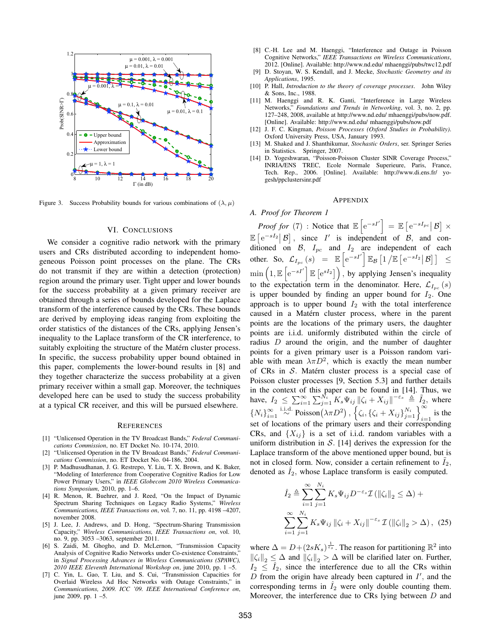

Figure 3. Success Probability bounds for various combinations of  $(\lambda, \mu)$ 

#### VI. CONCLUSIONS

We consider a cognitive radio network with the primary users and CRs distributed according to independent homogeneous Poisson point processes on the plane. The CRs do not transmit if they are within a detection (protection) region around the primary user. Tight upper and lower bounds for the success probability at a given primary receiver are obtained through a series of bounds developed for the Laplace transform of the interference caused by the CRs. These bounds are derived by employing ideas ranging from exploiting the order statistics of the distances of the CRs, applying Jensen's inequality to the Laplace transform of the CR interference, to suitably exploiting the structure of the Matérn cluster process. In specific, the success probability upper bound obtained in this paper, complements the lower-bound results in [8] and they together characterize the success probability at a given primary receiver within a small gap. Moreover, the techniques developed here can be used to study the success probability at a typical CR receiver, and this will be pursued elsewhere.

#### **REFERENCES**

- [1] "Unlicensed Operation in the TV Broadcast Bands," *Federal Communications Commission*, no. ET Docket No. 10-174, 2010.
- [2] "Unlicensed Operation in the TV Broadcast Bands," *Federal Communications Commission*, no. ET Docket No. 04-186, 2004.
- [3] P. Madhusudhanan, J. G. Restrepo, Y. Liu, T. X. Brown, and K. Baker, "Modeling of Interference from Cooperative Cognitive Radios for Low Power Primary Users," in *IEEE Globecom 2010 Wireless Communications Symposium*, 2010, pp. 1–6.
- [4] R. Menon, R. Buehrer, and J. Reed, "On the Impact of Dynamic Spectrum Sharing Techniques on Legacy Radio Systems," *Wireless Communications, IEEE Transactions on*, vol. 7, no. 11, pp. 4198 –4207, november 2008.
- [5] J. Lee, J. Andrews, and D. Hong, "Spectrum-Sharing Transmission Capacity," *Wireless Communications, IEEE Transactions on*, vol. 10, no. 9, pp. 3053 –3063, september 2011.
- [6] S. Zaidi, M. Ghogho, and D. McLernon, "Transmission Capacity Analysis of Cognitive Radio Networks under Co-existence Constraints,' in *Signal Processing Advances in Wireless Communications (SPAWC), 2010 IEEE Eleventh International Workshop on*, june 2010, pp. 1 –5.
- [7] C. Yin, L. Gao, T. Liu, and S. Cui, "Transmission Capacities for Overlaid Wireless Ad Hoc Networks with Outage Constraints," in *Communications, 2009. ICC '09. IEEE International Conference on*, june 2009, pp. 1 –5.
- [8] C.-H. Lee and M. Haenggi, "Interference and Outage in Poisson Cognitive Networks," *IEEE Transactions on Wireless Communications*, 2012. [Online]. Available: http://www.nd.edu/ mhaenggi/pubs/twc12.pdf
- [9] D. Stoyan, W. S. Kendall, and J. Mecke, *Stochastic Geometry and its Applications*, 1995.
- [10] P. Hall, *Introduction to the theory of coverage processes*. John Wiley & Sons, Inc., 1988.
- [11] M. Haenggi and R. K. Ganti, "Interference in Large Wireless Networks," *Foundations and Trends in Networking*, vol. 3, no. 2, pp. 127–248, 2008, available at http://www.nd.edu/ mhaenggi/pubs/now.pdf. [Online]. Available: http://www.nd.edu/ mhaenggi/pubs/now.pdf
- [12] J. F. C. Kingman, *Poisson Processes (Oxford Studies in Probability)*. Oxford University Press, USA, January 1993.
- [13] M. Shaked and J. Shanthikumar, *Stochastic Orders*, ser. Springer Series in Statistics. Springer, 2007.
- [14] D. Yogeshwaran, "Poisson-Poisson Cluster SINR Coverage Process," INRIA/ENS TREC, Ecole Normale Superieure, Paris, France, Tech. Rep., 2006. [Online]. Available: http://www.di.ens.fr/ yogesh/ppclustersinr.pdf

#### APPENDIX

#### *A. Proof for Theorem 1*

*Proof for* (7) : Notice that  $\mathbb{E}\left[e^{-sI'}\right] = \mathbb{E}\left[e^{-sI_{pc}} | \mathcal{B}\right] \times$  $\mathbb{E}\left[e^{-sI_2}|\mathcal{B}\right]$ , since I' is independent of B, and conditioned on  $\mathcal{B}$ ,  $I_{pc}$  and  $I_2$  are independent of each other. So,  $\mathcal{L}_{I_{pc}}(s) = \mathbb{E}\left[e^{-sI'}\right] \mathbb{E}_{\mathcal{B}}\left[1/\mathbb{E}\left[e^{-sI_2}\middle|\mathcal{B}\right]\right] \leq$  $\min\left(1,\mathbb{E}\left[e^{-sI'}\right]\mathbb{E}\left[e^{sI_2}\right]\right)$ , by applying Jensen's inequality to the expectation term in the denominator. Here,  $\mathcal{L}_{I_{pc}}(s)$ is upper bounded by finding an upper bound for  $I_2$ . One approach is to upper bound  $I_2$  with the total interference caused in a Matérn cluster process, where in the parent points are the locations of the primary users, the daughter points are i.i.d. uniformly distributed within the circle of radius D around the origin, and the number of daughter points for a given primary user is a Poisson random variable with mean  $\lambda \pi D^2$ , which is exactly the mean number of CRs in S. Matérn cluster process is a special case of Poisson cluster processes [9, Section 5.3] and further details in the context of this paper can be found in [14]. Thus, we have,  $I_2 \leq \sum_{i=1}^{\infty} \sum_{j=1}^{N_i} K_s \Psi_{ij} ||\zeta_i + X_{ij}||^{-\varepsilon_s} \triangleq \tilde{I}_2$ , where  ${N_i}_{i=1}^{\infty}$  $\sum_{i=1}^{\infty} \frac{\text{i.i.d.}}{\sim} \text{Poisson}(\lambda \pi D^2)$ ,  $\left\{ \zeta_i, \{\zeta_i + X_{ij}\}_{j=1}^{N_i} \right\}_{i=1}^{\infty}$  is the set of locations of the primary users and their corresponding CRs, and  $\{X_{ij}\}\$ is a set of i.i.d. random variables with a uniform distribution in  $S$ . [14] derives the expression for the Laplace transform of the above mentioned upper bound, but is not in closed form. Now, consider a certain refinement to  $I_2$ , denoted as  $I_2$ , whose Laplace transform is easily computed.

$$
\hat{I}_2 \triangleq \sum_{i=1}^{\infty} \sum_{j=1}^{N_i} K_s \Psi_{ij} D^{-\varepsilon_s} \mathcal{I} \left( \|\zeta_i\|_2 \le \Delta \right) +
$$
  

$$
\sum_{i=1}^{\infty} \sum_{j=1}^{N_i} K_s \Psi_{ij} \left\|\zeta_i + X_{ij}\right\|^{-\varepsilon_s} \mathcal{I} \left( \|\zeta_i\|_2 > \Delta \right), \quad (25)
$$

where  $\Delta = D + (2sK_s)^{\frac{1}{\varepsilon_s}}$ . The reason for partitioning  $\mathbb{R}^2$  into  $\|\zeta_i\|_2 \leq \Delta$  and  $\|\zeta_i\|_2 > \Delta$  will be clarified later on. Further,  $I_2 \leq I_2$ , since the interference due to all the CRs within  $D$  from the origin have already been captured in  $I'$ , and the corresponding terms in  $\hat{I}_2$  were only double counting them. Moreover, the interference due to CRs lying between  $D$  and